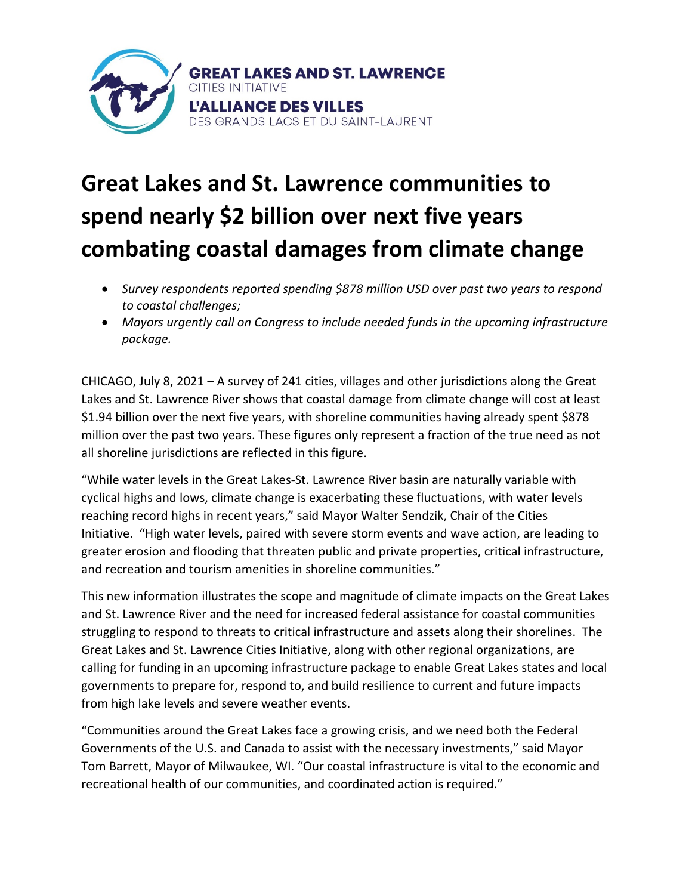

# **Great Lakes and St. Lawrence communities to spend nearly \$2 billion over next five years combating coastal damages from climate change**

- *Survey respondents reported spending \$878 million USD over past two years to respond to coastal challenges;*
- *Mayors urgently call on Congress to include needed funds in the upcoming infrastructure package.*

CHICAGO, July 8, 2021 – A survey of 241 cities, villages and other jurisdictions along the Great Lakes and St. Lawrence River shows that coastal damage from climate change will cost at least \$1.94 billion over the next five years, with shoreline communities having already spent \$878 million over the past two years. These figures only represent a fraction of the true need as not all shoreline jurisdictions are reflected in this figure.

"While water levels in the Great Lakes-St. Lawrence River basin are naturally variable with cyclical highs and lows, climate change is exacerbating these fluctuations, with water levels reaching record highs in recent years," said Mayor Walter Sendzik, Chair of the Cities Initiative. "High water levels, paired with severe storm events and wave action, are leading to greater erosion and flooding that threaten public and private properties, critical infrastructure, and recreation and tourism amenities in shoreline communities."

This new information illustrates the scope and magnitude of climate impacts on the Great Lakes and St. Lawrence River and the need for increased federal assistance for coastal communities struggling to respond to threats to critical infrastructure and assets along their shorelines. The Great Lakes and St. Lawrence Cities Initiative, along with other regional organizations, are calling for funding in an upcoming infrastructure package to enable Great Lakes states and local governments to prepare for, respond to, and build resilience to current and future impacts from high lake levels and severe weather events.

"Communities around the Great Lakes face a growing crisis, and we need both the Federal Governments of the U.S. and Canada to assist with the necessary investments," said Mayor Tom Barrett, Mayor of Milwaukee, WI. "Our coastal infrastructure is vital to the economic and recreational health of our communities, and coordinated action is required."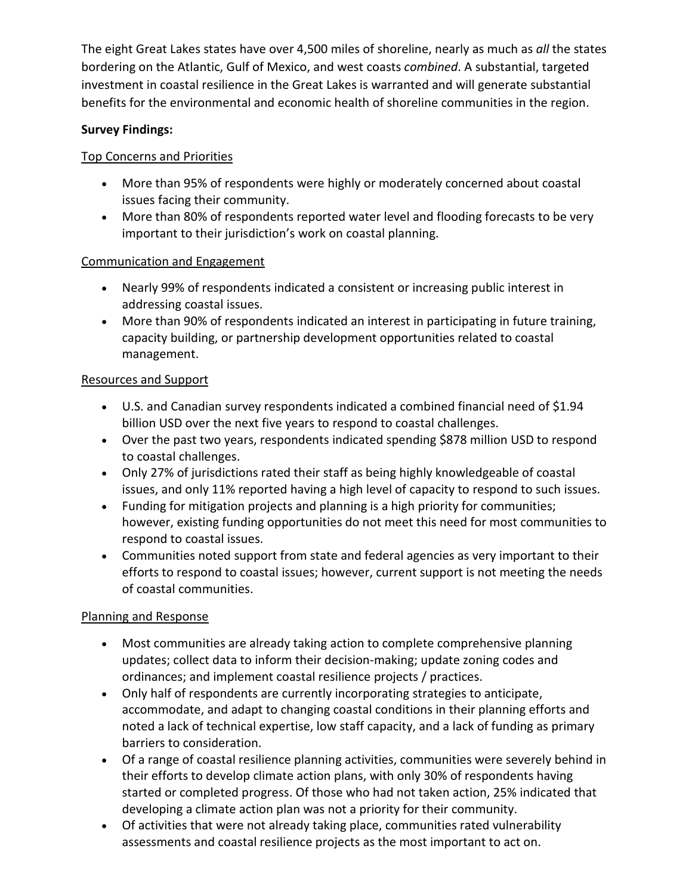The eight Great Lakes states have over 4,500 miles of shoreline, nearly as much as *all* the states bordering on the Atlantic, Gulf of Mexico, and west coasts *combined*. A substantial, targeted investment in coastal resilience in the Great Lakes is warranted and will generate substantial benefits for the environmental and economic health of shoreline communities in the region.

## **Survey Findings:**

## Top Concerns and Priorities

- More than 95% of respondents were highly or moderately concerned about coastal issues facing their community.
- More than 80% of respondents reported water level and flooding forecasts to be very important to their jurisdiction's work on coastal planning.

### Communication and Engagement

- Nearly 99% of respondents indicated a consistent or increasing public interest in addressing coastal issues.
- More than 90% of respondents indicated an interest in participating in future training, capacity building, or partnership development opportunities related to coastal management.

## Resources and Support

- U.S. and Canadian survey respondents indicated a combined financial need of \$1.94 billion USD over the next five years to respond to coastal challenges.
- Over the past two years, respondents indicated spending \$878 million USD to respond to coastal challenges.
- Only 27% of jurisdictions rated their staff as being highly knowledgeable of coastal issues, and only 11% reported having a high level of capacity to respond to such issues.
- Funding for mitigation projects and planning is a high priority for communities; however, existing funding opportunities do not meet this need for most communities to respond to coastal issues.
- Communities noted support from state and federal agencies as very important to their efforts to respond to coastal issues; however, current support is not meeting the needs of coastal communities.

### Planning and Response

- Most communities are already taking action to complete comprehensive planning updates; collect data to inform their decision-making; update zoning codes and ordinances; and implement coastal resilience projects / practices.
- Only half of respondents are currently incorporating strategies to anticipate, accommodate, and adapt to changing coastal conditions in their planning efforts and noted a lack of technical expertise, low staff capacity, and a lack of funding as primary barriers to consideration.
- Of a range of coastal resilience planning activities, communities were severely behind in their efforts to develop climate action plans, with only 30% of respondents having started or completed progress. Of those who had not taken action, 25% indicated that developing a climate action plan was not a priority for their community.
- Of activities that were not already taking place, communities rated vulnerability assessments and coastal resilience projects as the most important to act on.